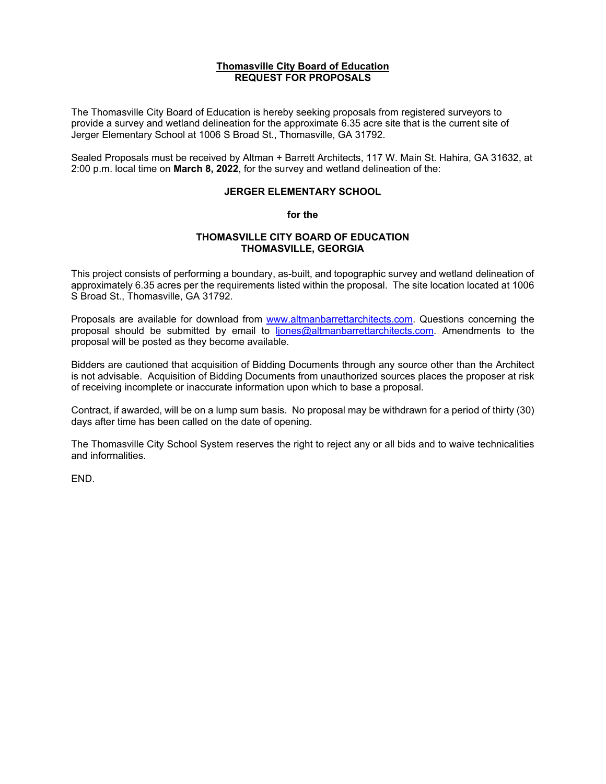### **Thomasville City Board of Education REQUEST FOR PROPOSALS**

The Thomasville City Board of Education is hereby seeking proposals from registered surveyors to provide a survey and wetland delineation for the approximate 6.35 acre site that is the current site of Jerger Elementary School at 1006 S Broad St., Thomasville, GA 31792.

Sealed Proposals must be received by Altman + Barrett Architects, 117 W. Main St. Hahira, GA 31632, at 2:00 p.m. local time on **March 8, 2022**, for the survey and wetland delineation of the:

### **JERGER ELEMENTARY SCHOOL**

#### **for the**

### **THOMASVILLE CITY BOARD OF EDUCATION THOMASVILLE, GEORGIA**

This project consists of performing a boundary, as-built, and topographic survey and wetland delineation of approximately 6.35 acres per the requirements listed within the proposal. The site location located at 1006 S Broad St., Thomasville, GA 31792.

Proposals are available for download from [www.altmanbarrettarchitects.com.](http://www.altmanbarrettarchitects.com/) Questions concerning the proposal should be submitted by email to [ljones@altmanbarrettarchitects.com.](mailto:ljones@altmanbarrettarchitects.com) Amendments to the proposal will be posted as they become available.

Bidders are cautioned that acquisition of Bidding Documents through any source other than the Architect is not advisable. Acquisition of Bidding Documents from unauthorized sources places the proposer at risk of receiving incomplete or inaccurate information upon which to base a proposal.

Contract, if awarded, will be on a lump sum basis. No proposal may be withdrawn for a period of thirty (30) days after time has been called on the date of opening.

The Thomasville City School System reserves the right to reject any or all bids and to waive technicalities and informalities.

END.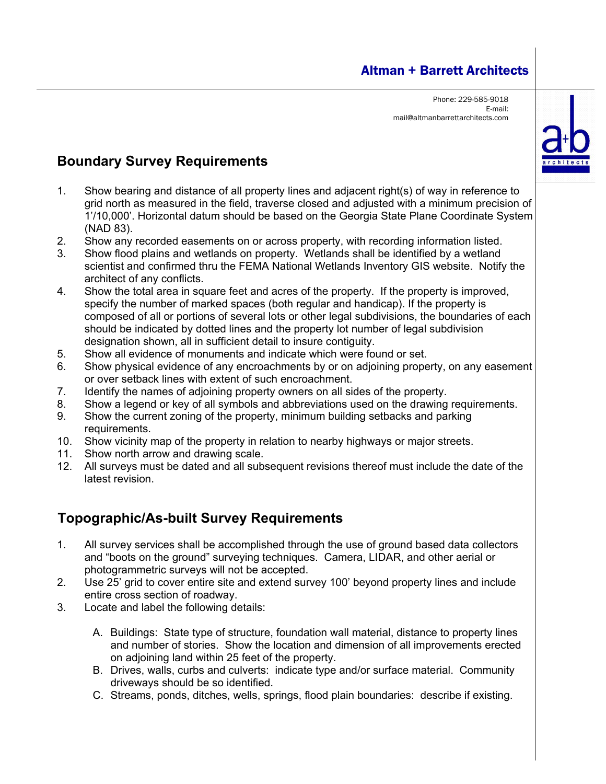### Altman + Barrett Architects

Phone: 229-585-9018 E-mail: mail@altmanbarrettarchitects.com



## **Boundary Survey Requirements**

- 1. Show bearing and distance of all property lines and adjacent right(s) of way in reference to grid north as measured in the field, traverse closed and adjusted with a minimum precision of 1'/10,000'. Horizontal datum should be based on the Georgia State Plane Coordinate System (NAD 83).
- 2. Show any recorded easements on or across property, with recording information listed.
- 3. Show flood plains and wetlands on property. Wetlands shall be identified by a wetland scientist and confirmed thru the FEMA National Wetlands Inventory GIS website. Notify the architect of any conflicts.
- 4. Show the total area in square feet and acres of the property. If the property is improved, specify the number of marked spaces (both regular and handicap). If the property is composed of all or portions of several lots or other legal subdivisions, the boundaries of each should be indicated by dotted lines and the property lot number of legal subdivision designation shown, all in sufficient detail to insure contiguity.
- 5. Show all evidence of monuments and indicate which were found or set.
- 6. Show physical evidence of any encroachments by or on adjoining property, on any easement or over setback lines with extent of such encroachment.
- 7. Identify the names of adjoining property owners on all sides of the property.
- 8. Show a legend or key of all symbols and abbreviations used on the drawing requirements.
- 9. Show the current zoning of the property, minimum building setbacks and parking requirements.
- 10. Show vicinity map of the property in relation to nearby highways or major streets.
- 11. Show north arrow and drawing scale.
- 12. All surveys must be dated and all subsequent revisions thereof must include the date of the latest revision.

# **Topographic/As-built Survey Requirements**

- 1. All survey services shall be accomplished through the use of ground based data collectors and "boots on the ground" surveying techniques. Camera, LIDAR, and other aerial or photogrammetric surveys will not be accepted.
- 2. Use 25' grid to cover entire site and extend survey 100' beyond property lines and include entire cross section of roadway.
- 3. Locate and label the following details:
	- A. Buildings: State type of structure, foundation wall material, distance to property lines and number of stories. Show the location and dimension of all improvements erected on adjoining land within 25 feet of the property.
	- B. Drives, walls, curbs and culverts: indicate type and/or surface material. Community driveways should be so identified.
	- C. Streams, ponds, ditches, wells, springs, flood plain boundaries: describe if existing.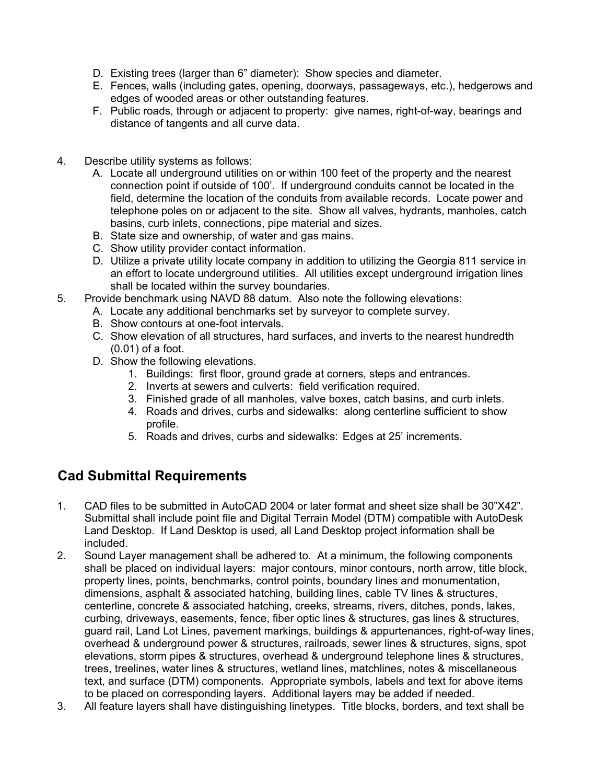- D. Existing trees (larger than 6" diameter): Show species and diameter.
- E. Fences, walls (including gates, opening, doorways, passageways, etc.), hedgerows and edges of wooded areas or other outstanding features.
- F. Public roads, through or adjacent to property: give names, right-of-way, bearings and distance of tangents and all curve data.
- 4. Describe utility systems as follows:
	- A. Locate all underground utilities on or within 100 feet of the property and the nearest connection point if outside of 100'. If underground conduits cannot be located in the field, determine the location of the conduits from available records. Locate power and telephone poles on or adjacent to the site. Show all valves, hydrants, manholes, catch basins, curb inlets, connections, pipe material and sizes.
	- B. State size and ownership, of water and gas mains.
	- C. Show utility provider contact information.
	- D. Utilize a private utility locate company in addition to utilizing the Georgia 811 service in an effort to locate underground utilities. All utilities except underground irrigation lines shall be located within the survey boundaries.
- 5. Provide benchmark using NAVD 88 datum. Also note the following elevations:
	- A. Locate any additional benchmarks set by surveyor to complete survey.
	- B. Show contours at one-foot intervals.
	- C. Show elevation of all structures, hard surfaces, and inverts to the nearest hundredth (0.01) of a foot.
	- D. Show the following elevations.
		- 1. Buildings: first floor, ground grade at corners, steps and entrances.
		- 2. Inverts at sewers and culverts: field verification required.
		- 3. Finished grade of all manholes, valve boxes, catch basins, and curb inlets.
		- 4. Roads and drives, curbs and sidewalks: along centerline sufficient to show profile.
		- 5. Roads and drives, curbs and sidewalks: Edges at 25' increments.

### **Cad Submittal Requirements**

- 1. CAD files to be submitted in AutoCAD 2004 or later format and sheet size shall be 30"X42". Submittal shall include point file and Digital Terrain Model (DTM) compatible with AutoDesk Land Desktop. If Land Desktop is used, all Land Desktop project information shall be included.
- 2. Sound Layer management shall be adhered to. At a minimum, the following components shall be placed on individual layers: major contours, minor contours, north arrow, title block, property lines, points, benchmarks, control points, boundary lines and monumentation, dimensions, asphalt & associated hatching, building lines, cable TV lines & structures, centerline, concrete & associated hatching, creeks, streams, rivers, ditches, ponds, lakes, curbing, driveways, easements, fence, fiber optic lines & structures, gas lines & structures, guard rail, Land Lot Lines, pavement markings, buildings & appurtenances, right-of-way lines, overhead & underground power & structures, railroads, sewer lines & structures, signs, spot elevations, storm pipes & structures, overhead & underground telephone lines & structures, trees, treelines, water lines & structures, wetland lines, matchlines, notes & miscellaneous text, and surface (DTM) components. Appropriate symbols, labels and text for above items to be placed on corresponding layers. Additional layers may be added if needed.
- 3. All feature layers shall have distinguishing linetypes. Title blocks, borders, and text shall be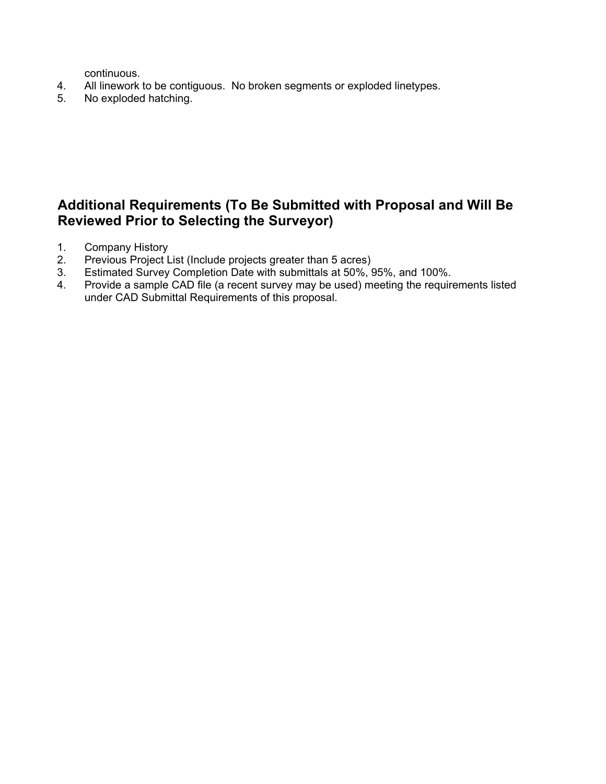continuous.

- 4. All linework to be contiguous. No broken segments or exploded linetypes.<br>5. No exploded hatching.
- No exploded hatching.

### **Additional Requirements (To Be Submitted with Proposal and Will Be Reviewed Prior to Selecting the Surveyor)**

- 1. Company History
- 2. Previous Project List (Include projects greater than 5 acres)
- 3. Estimated Survey Completion Date with submittals at 50%, 95%, and 100%.
- 4. Provide a sample CAD file (a recent survey may be used) meeting the requirements listed under CAD Submittal Requirements of this proposal.